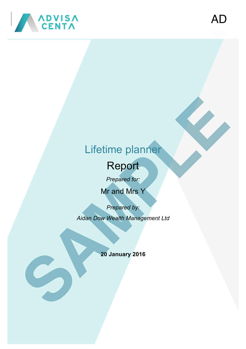

# Lifetime planner

# Report

*Prepared for:*

Mr and Mrs Y

*Prepared by:*

*Aidan Dow Wealth Management Ltd*

**20 January 2016**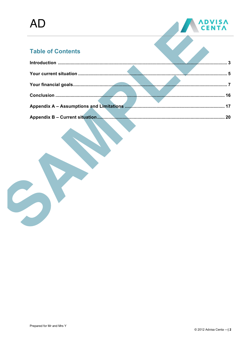

# **Table of Contents**

|  | $\sim$ 3 |
|--|----------|
|  |          |
|  |          |
|  |          |
|  |          |
|  | 20       |
|  |          |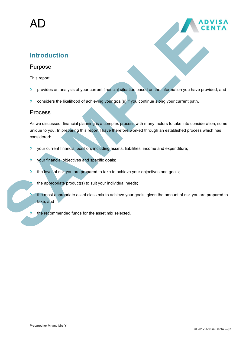

# **Introduction**

## Purpose

This report:

- provides an analysis of your current financial situation based on the information you have provided; and 5
- considers the likelihood of achieving your goal(s) if you continue along your current path. >

#### Process

As we discussed, financial planning is a complex process with many factors to take into consideration, some unique to you. In preparing this report I have therefore worked through an established process which has considered:

- $\overline{\phantom{0}}$ your current financial position, including assets, liabilities, income and expenditure;
- your financial objectives and specific goals;  $\blacktriangleright$
- the level of risk you are prepared to take to achieve your objectives and goals;
	- the appropriate product(s) to suit your individual needs;
	- the most appropriate asset class mix to achieve your goals, given the amount of risk you are prepared to take; and
	- the recommended funds for the asset mix selected.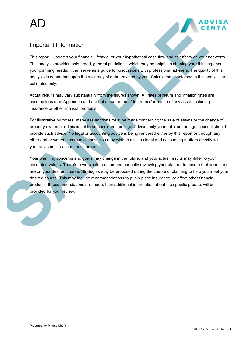

# Important Information

This report illustrates your financial lifestyle, or your hypothetical cash flow and its effects on your net worth. This analysis provides only broad, general guidelines, which may be helpful in shaping your thinking about your planning needs. It can serve as a guide for discussions with professional advisers. The quality of this analysis is dependent upon the accuracy of data provided by you. Calculations contained in this analysis are estimates only.

Actual results may vary substantially from the figures shown. All rates of return and inflation rates are assumptions (see Appendix) and are not a guarantee of future performance of any asset, including insurance or other financial products.

For illustrative purposes, many assumptions must be made concerning the sale of assets or the change of property ownership. This is not to be considered as legal advice; only your solicitors or legal counsel should provide such advice. No legal or accounting advice is being rendered either by this report or through any other oral or written communications. You may wish to discuss legal and accounting matters directly with your advisers in each of those areas.

Your planning concerns and goals may change in the future, and your actual results may differ to your estimated values. Therefore we would recommend annually reviewing your planner to ensure that your plans are on your desired course. Strategies may be proposed during the course of planning to help you meet your desired course. This may include recommendations to put in place insurance, or affect other financial products. If recommendations are made, then additional information about the specific product will be provided for your review.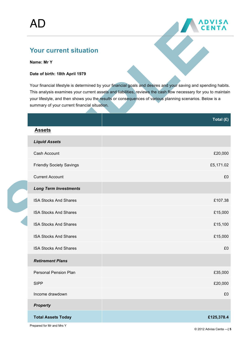

# **Your current situation**

#### **Name: Mr Y**

#### **Date of birth: 18th April 1979**

Your financial lifestyle is determined by your financial goals and desires and your saving and spending habits. This analysis examines your current assets and liabilities, reviews the cash flow necessary for you to maintain your lifestyle, and then shows you the results or consequences of various planning scenarios. Below is a summary of your current financial situation.

|  |                                 | Total (£)  |
|--|---------------------------------|------------|
|  | <b>Assets</b>                   |            |
|  | <b>Liquid Assets</b>            |            |
|  | Cash Account                    | £20,000    |
|  | <b>Friendly Society Savings</b> | £5,171.02  |
|  | <b>Current Account</b>          | £0         |
|  | <b>Long Term Investments</b>    |            |
|  | <b>ISA Stocks And Shares</b>    | £107.38    |
|  | <b>ISA Stocks And Shares</b>    | £15,000    |
|  | <b>ISA Stocks And Shares</b>    | £15,100    |
|  | <b>ISA Stocks And Shares</b>    | £15,000    |
|  | <b>ISA Stocks And Shares</b>    | £0         |
|  | <b>Retirement Plans</b>         |            |
|  | Personal Pension Plan           | £35,000    |
|  | <b>SIPP</b>                     | £20,000    |
|  | Income drawdown                 | £0         |
|  | <b>Property</b>                 |            |
|  | <b>Total Assets Today</b>       | £125,378.4 |
|  |                                 |            |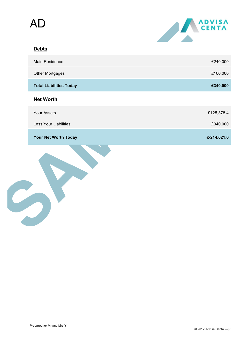

# **Debts**

| <b>Main Residence</b>          | £240,000    |
|--------------------------------|-------------|
| Other Mortgages                | £100,000    |
| <b>Total Liabilities Today</b> | £340,000    |
| <b>Net Worth</b>               |             |
| <b>Your Assets</b>             | £125,378.4  |
| <b>Less Your Liabilities</b>   | £340,000    |
| <b>Your Net Worth Today</b>    | £-214,621.6 |

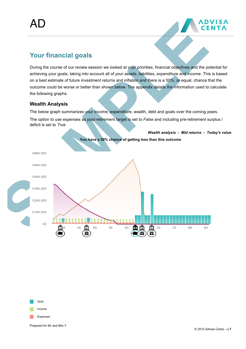

# **Your financial goals**

During the course of our review session we looked at your priorities, financial objectives and the potential for achieving your goals, taking into account all of your assets, liabilities, expenditure and income. This is based on a best estimate of future investment returns and inflation and there is a 50%, or equal, chance that the outcome could be worse or better than shown below. The appendix details the information used to calculate the following graphs.

#### **Wealth Analysis**

The below graph summarizes your income, expenditure, wealth, debt and goals over the coming years.

The option to use expenses as post-retirement target is set to *False* and including pre-retirement surplus / deficit is set to *True*





Prepared for Mr and Mrs Y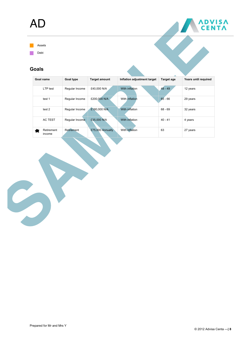# AD





#### **Goals**

| Goal name            | <b>Goal type</b> | <b>Target amount</b> | Inflation adjustment target | Target age | Years until required |
|----------------------|------------------|----------------------|-----------------------------|------------|----------------------|
| LTP test             | Regular Income   | £40,000 N/A          | With inflation              | $48 - 49$  | 12 years             |
| test 1               | Regular Income   | £200,000 N/A         | With inflation              | $65 - 66$  | 29 years             |
| test 2               | Regular Income   | £180,000 N/A         | With inflation              | $68 - 69$  | 32 years             |
| <b>AC TEST</b>       | Regular Income   | £35,000 N/A          | With inflation              | $40 - 41$  | 4 years              |
| Retirement<br>income | Retirement       | £75,000 Annually     | With inflation              | 63         | 27 years             |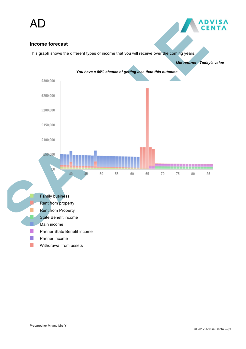

#### **Income forecast**

This graph shows the different types of income that you will receive over the coming years.

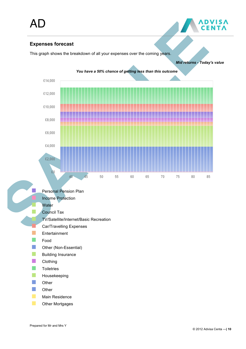

This graph shows the breakdown of all your expenses over the coming years.



Prepared for Mr and Mrs Y

**\DVISA**<br>CENTA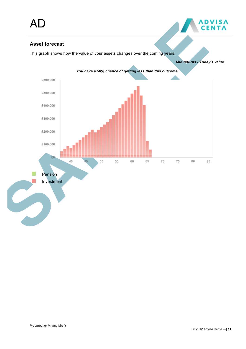

*Mid returns - Today's value*

## **Asset forecast**

This graph shows how the value of your assets changes over the coming years.

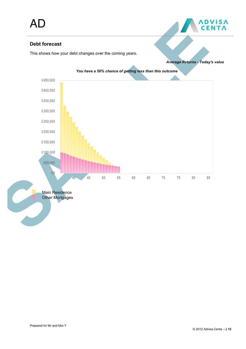## **Debt forecast**

This shows how your debt changes over the coming years.



*Average Returns - Today's value*

**NDVISA**<br>CENTA